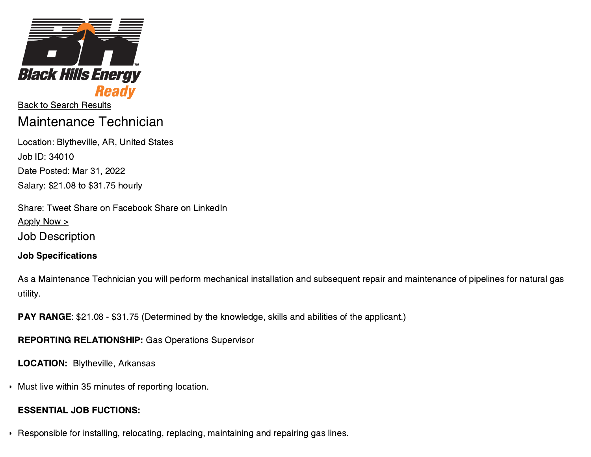

Back to Search [Results](https://careers.blackhillsenergy.com/search/jobs) Maintenance Technician

Location: Blytheville, AR, United States Job ID: 34010 Date Posted: Mar 31, 2022 Salary: \$21.08 to \$31.75 hourly

Share: [Tweet](https://twitter.com/intent/tweet?original_referer=https%3A%2F%2Fcareers.blackhillsenergy.com%2Fjobs%2F9195869-maintenance-technician&source=tweetbutton&text=Maintenance%20Technician%20in%20Blytheville%2C%20AR%20-%20Black%20Hills%20Energy&url=https%3A%2F%2Fcareers.blackhillsenergy.com%2Fjobs%2F9195869-maintenance-technician) Share on [Facebook](http://www.facebook.com/sharer.php?u=https%3A%2F%2Fcareers.blackhillsenergy.com%2Fjobs%2F9195869-maintenance-technician&t=Maintenance%20Technician%20in%20Blytheville%2C%20AR%20-%20Black%20Hills%20Energy) Share on [LinkedIn](http://www.linkedin.com/shareArticle?mini=true&url=https%3A%2F%2Fcareers.blackhillsenergy.com%2Fjobs%2F9195869-maintenance-technician&title=Maintenance%20Technician%20in%20Blytheville%2C%20AR%20-%20Black%20Hills%20Energy)  $Apply Now >$ Job Description

### Job Specifications

As a Maintenance Technician you will perform mechanical installation and subsequent repair and maintenance of pipelines for natural gas utility.

PAY RANGE: \$21.08 - \$31.75 (Determined by the knowledge, skills and abilities of the applicant.)

REPORTING RELATIONSHIP: Gas Operations Supervisor

LOCATION: Blytheville, Arkansas

Must live within 35 minutes of reporting location.

## ESSENTIAL JOB FUCTIONS:

Responsible for installing, relocating, replacing, maintaining and repairing gas lines.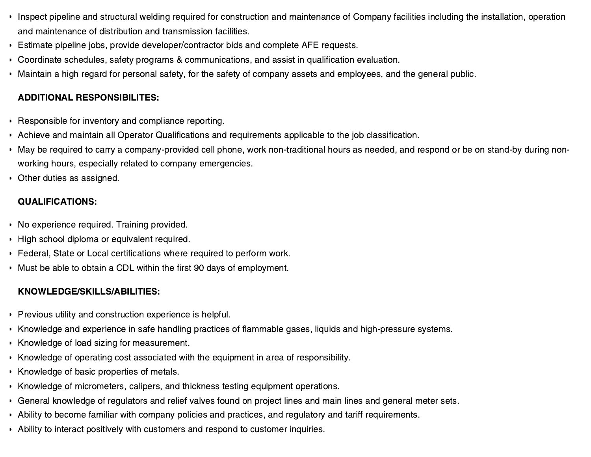- Inspect pipeline and structural welding required for construction and maintenance of Company facilities including the installation, operation and maintenance of distribution and transmission facilities.
- Estimate pipeline jobs, provide developer/contractor bids and complete AFE requests.
- Coordinate schedules, safety programs & communications, and assist in qualification evaluation.
- Maintain a high regard for personal safety, for the safety of company assets and employees, and the general public.

# ADDITIONAL RESPONSIBILITES:

- Responsible for inventory and compliance reporting.
- Achieve and maintain all Operator Qualifications and requirements applicable to the job classification.
- May be required to carry a company-provided cell phone, work non-traditional hours as needed, and respond or be on stand-by during nonworking hours, especially related to company emergencies.
- Other duties as assigned.

# QUALIFICATIONS:

- No experience required. Training provided.
- High school diploma or equivalent required.
- Federal, State or Local certifications where required to perform work.
- Must be able to obtain a CDL within the first 90 days of employment.

# KNOWLEDGE/SKILLS/ABILITIES:

- **Previous utility and construction experience is helpful.**
- Knowledge and experience in safe handling practices of flammable gases, liquids and high-pressure systems.
- Knowledge of load sizing for measurement.
- Knowledge of operating cost associated with the equipment in area of responsibility.
- Knowledge of basic properties of metals.
- Knowledge of micrometers, calipers, and thickness testing equipment operations.
- General knowledge of regulators and relief valves found on project lines and main lines and general meter sets.
- Ability to become familiar with company policies and practices, and regulatory and tariff requirements.
- Ability to interact positively with customers and respond to customer inquiries.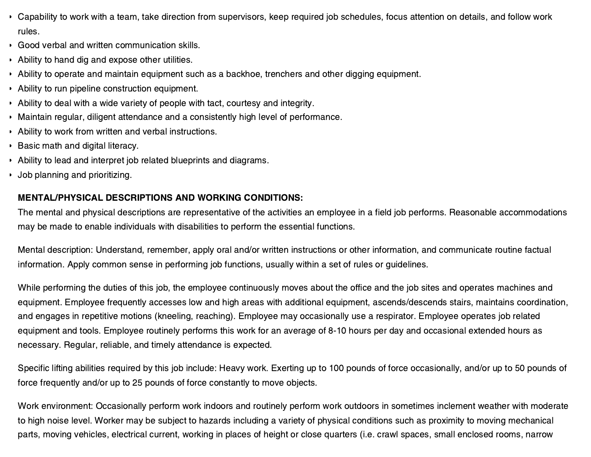- Capability to work with a team, take direction from supervisors, keep required job schedules, focus attention on details, and follow work rules.
- Good verbal and written communication skills.
- Ability to hand dig and expose other utilities.
- Ability to operate and maintain equipment such as a backhoe, trenchers and other digging equipment.
- Ability to run pipeline construction equipment.
- Ability to deal with a wide variety of people with tact, courtesy and integrity.
- Maintain regular, diligent attendance and a consistently high level of performance.
- Ability to work from written and verbal instructions.
- **Basic math and digital literacy.**
- Ability to lead and interpret job related blueprints and diagrams.
- Job planning and prioritizing.

### MENTAL/PHYSICAL DESCRIPTIONS AND WORKING CONDITIONS:

The mental and physical descriptions are representative of the activities an employee in a field job performs. Reasonable accommodations may be made to enable individuals with disabilities to perform the essential functions.

Mental description: Understand, remember, apply oral and/or written instructions or other information, and communicate routine factual information. Apply common sense in performing job functions, usually within a set of rules or guidelines.

While performing the duties of this job, the employee continuously moves about the office and the job sites and operates machines and equipment. Employee frequently accesses low and high areas with additional equipment, ascends/descends stairs, maintains coordination, and engages in repetitive motions (kneeling, reaching). Employee may occasionally use a respirator. Employee operates job related equipment and tools. Employee routinely performs this work for an average of 8-10 hours per day and occasional extended hours as necessary. Regular, reliable, and timely attendance is expected.

Specific lifting abilities required by this job include: Heavy work. Exerting up to 100 pounds of force occasionally, and/or up to 50 pounds of force frequently and/or up to 25 pounds of force constantly to move objects.

Work environment: Occasionally perform work indoors and routinely perform work outdoors in sometimes inclement weather with moderate to high noise level. Worker may be subject to hazards including a variety of physical conditions such as proximity to moving mechanical parts, moving vehicles, electrical current, working in places of height or close quarters (i.e. crawl spaces, small enclosed rooms, narrow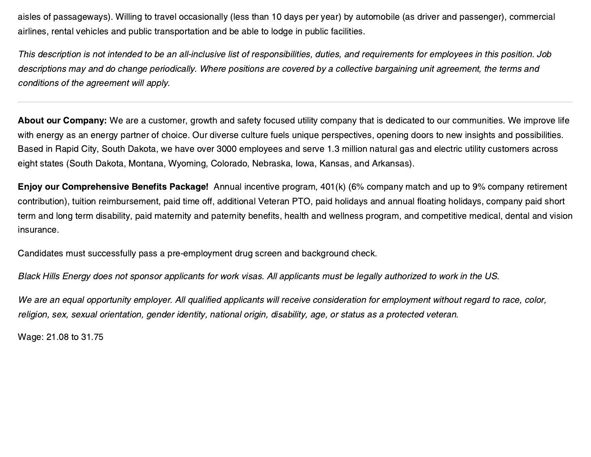aisles of passageways). Willing to travel occasionally (less than 10 days per year) by automobile (as driver and passenger), commercial airlines, rental vehicles and public transportation and be able to lodge in public facilities.

This description is not intended to be an all-inclusive list of responsibilities, duties, and requirements for employees in this position. Job descriptions may and do change periodically. Where positions are covered by a collective bargaining unit agreement, the terms and conditions of the agreement will apply.

About our Company: We are a customer, growth and safety focused utility company that is dedicated to our communities. We improve life with energy as an energy partner of choice. Our diverse culture fuels unique perspectives, opening doors to new insights and possibilities. Based in Rapid City, South Dakota, we have over 3000 employees and serve 1.3 million natural gas and electric utility customers across eight states (South Dakota, Montana, Wyoming, Colorado, Nebraska, Iowa, Kansas, and Arkansas).

Enjoy our Comprehensive Benefits Package! Annual incentive program, 401(k) (6% company match and up to 9% company retirement contribution), tuition reimbursement, paid time off, additional Veteran PTO, paid holidays and annual floating holidays, company paid short term and long term disability, paid maternity and paternity benefits, health and wellness program, and competitive medical, dental and vision insurance.

Candidates must successfully pass a pre-employment drug screen and background check.

Black Hills Energy does not sponsor applicants for work visas. All applicants must be legally authorized to work in the US.

We are an equal opportunity employer. All qualified applicants will receive consideration for employment without regard to race, color, religion, sex, sexual orientation, gender identity, national origin, disability, age, or status as a protected veteran.

Wage: 21.08 to 31.75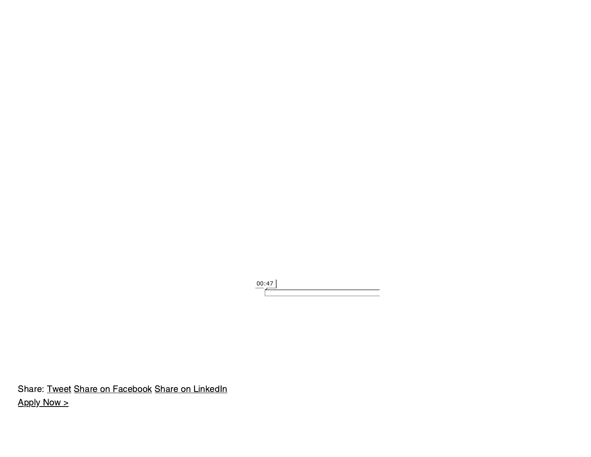00:47

Share: [Tweet](https://twitter.com/intent/tweet?original_referer=https%3A%2F%2Fcareers.blackhillsenergy.com%2Fjobs%2F9195869-maintenance-technician&source=tweetbutton&text=Maintenance%20Technician%20in%20Blytheville%2C%20AR%20-%20Black%20Hills%20Energy&url=https%3A%2F%2Fcareers.blackhillsenergy.com%2Fjobs%2F9195869-maintenance-technician) Share on [Facebook](http://www.facebook.com/sharer.php?u=https%3A%2F%2Fcareers.blackhillsenergy.com%2Fjobs%2F9195869-maintenance-technician&t=Maintenance%20Technician%20in%20Blytheville%2C%20AR%20-%20Black%20Hills%20Energy) Share on [LinkedIn](http://www.linkedin.com/shareArticle?mini=true&url=https%3A%2F%2Fcareers.blackhillsenergy.com%2Fjobs%2F9195869-maintenance-technician&title=Maintenance%20Technician%20in%20Blytheville%2C%20AR%20-%20Black%20Hills%20Energy)  $Apply Now >$  $Apply Now >$